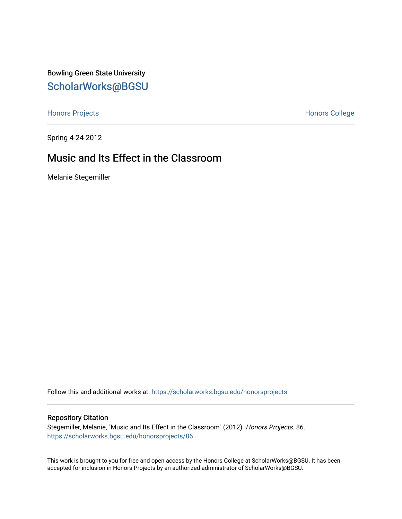Bowling Green State University [ScholarWorks@BGSU](https://scholarworks.bgsu.edu/) 

[Honors Projects](https://scholarworks.bgsu.edu/honorsprojects) **Honors** College

Spring 4-24-2012

## Music and Its Effect in the Classroom

Melanie Stegemiller

Follow this and additional works at: [https://scholarworks.bgsu.edu/honorsprojects](https://scholarworks.bgsu.edu/honorsprojects?utm_source=scholarworks.bgsu.edu%2Fhonorsprojects%2F86&utm_medium=PDF&utm_campaign=PDFCoverPages) 

## Repository Citation

Stegemiller, Melanie, "Music and Its Effect in the Classroom" (2012). Honors Projects. 86. [https://scholarworks.bgsu.edu/honorsprojects/86](https://scholarworks.bgsu.edu/honorsprojects/86?utm_source=scholarworks.bgsu.edu%2Fhonorsprojects%2F86&utm_medium=PDF&utm_campaign=PDFCoverPages)

This work is brought to you for free and open access by the Honors College at ScholarWorks@BGSU. It has been accepted for inclusion in Honors Projects by an authorized administrator of ScholarWorks@BGSU.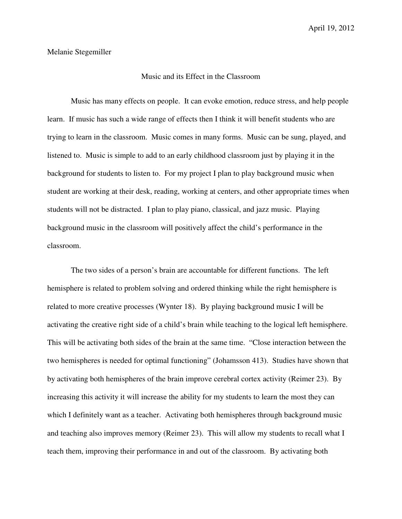## Melanie Stegemiller

## Music and its Effect in the Classroom

 Music has many effects on people. It can evoke emotion, reduce stress, and help people learn. If music has such a wide range of effects then I think it will benefit students who are trying to learn in the classroom. Music comes in many forms. Music can be sung, played, and listened to. Music is simple to add to an early childhood classroom just by playing it in the background for students to listen to. For my project I plan to play background music when student are working at their desk, reading, working at centers, and other appropriate times when students will not be distracted. I plan to play piano, classical, and jazz music. Playing background music in the classroom will positively affect the child's performance in the classroom.

 The two sides of a person's brain are accountable for different functions. The left hemisphere is related to problem solving and ordered thinking while the right hemisphere is related to more creative processes (Wynter 18). By playing background music I will be activating the creative right side of a child's brain while teaching to the logical left hemisphere. This will be activating both sides of the brain at the same time. "Close interaction between the two hemispheres is needed for optimal functioning" (Johamsson 413). Studies have shown that by activating both hemispheres of the brain improve cerebral cortex activity (Reimer 23). By increasing this activity it will increase the ability for my students to learn the most they can which I definitely want as a teacher. Activating both hemispheres through background music and teaching also improves memory (Reimer 23). This will allow my students to recall what I teach them, improving their performance in and out of the classroom. By activating both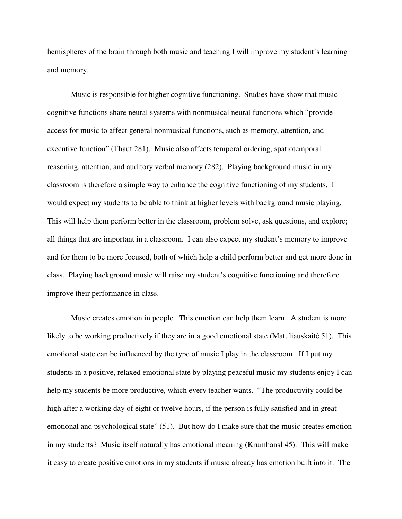hemispheres of the brain through both music and teaching I will improve my student's learning and memory.

 Music is responsible for higher cognitive functioning. Studies have show that music cognitive functions share neural systems with nonmusical neural functions which "provide access for music to affect general nonmusical functions, such as memory, attention, and executive function" (Thaut 281). Music also affects temporal ordering, spatiotemporal reasoning, attention, and auditory verbal memory (282). Playing background music in my classroom is therefore a simple way to enhance the cognitive functioning of my students. I would expect my students to be able to think at higher levels with background music playing. This will help them perform better in the classroom, problem solve, ask questions, and explore; all things that are important in a classroom. I can also expect my student's memory to improve and for them to be more focused, both of which help a child perform better and get more done in class. Playing background music will raise my student's cognitive functioning and therefore improve their performance in class.

 Music creates emotion in people. This emotion can help them learn. A student is more likely to be working productively if they are in a good emotional state (Matuliauskaitė 51). This emotional state can be influenced by the type of music I play in the classroom. If I put my students in a positive, relaxed emotional state by playing peaceful music my students enjoy I can help my students be more productive, which every teacher wants. "The productivity could be high after a working day of eight or twelve hours, if the person is fully satisfied and in great emotional and psychological state" (51). But how do I make sure that the music creates emotion in my students? Music itself naturally has emotional meaning (Krumhansl 45). This will make it easy to create positive emotions in my students if music already has emotion built into it. The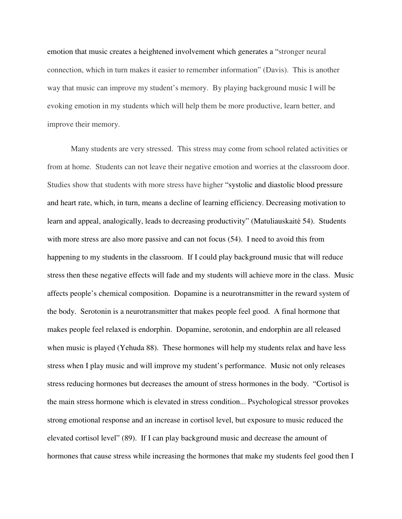emotion that music creates a heightened involvement which generates a "stronger neural connection, which in turn makes it easier to remember information" (Davis). This is another way that music can improve my student's memory. By playing background music I will be evoking emotion in my students which will help them be more productive, learn better, and improve their memory.

 Many students are very stressed. This stress may come from school related activities or from at home. Students can not leave their negative emotion and worries at the classroom door. Studies show that students with more stress have higher "systolic and diastolic blood pressure and heart rate, which, in turn, means a decline of learning efficiency. Decreasing motivation to learn and appeal, analogically, leads to decreasing productivity" (Matuliauskaite 54). Students with more stress are also more passive and can not focus (54). I need to avoid this from happening to my students in the classroom. If I could play background music that will reduce stress then these negative effects will fade and my students will achieve more in the class. Music affects people's chemical composition. Dopamine is a neurotransmitter in the reward system of the body. Serotonin is a neurotransmitter that makes people feel good. A final hormone that makes people feel relaxed is endorphin. Dopamine, serotonin, and endorphin are all released when music is played (Yehuda 88). These hormones will help my students relax and have less stress when I play music and will improve my student's performance. Music not only releases stress reducing hormones but decreases the amount of stress hormones in the body. "Cortisol is the main stress hormone which is elevated in stress condition... Psychological stressor provokes strong emotional response and an increase in cortisol level, but exposure to music reduced the elevated cortisol level" (89). If I can play background music and decrease the amount of hormones that cause stress while increasing the hormones that make my students feel good then I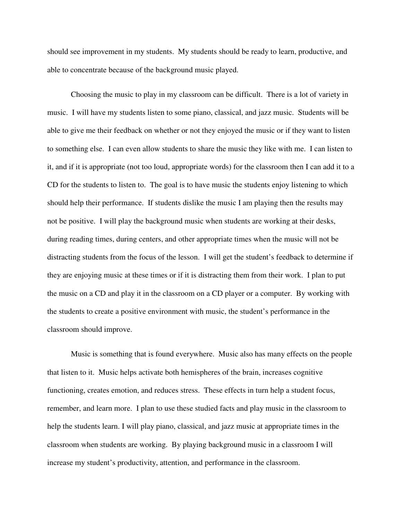should see improvement in my students. My students should be ready to learn, productive, and able to concentrate because of the background music played.

 Choosing the music to play in my classroom can be difficult. There is a lot of variety in music. I will have my students listen to some piano, classical, and jazz music. Students will be able to give me their feedback on whether or not they enjoyed the music or if they want to listen to something else. I can even allow students to share the music they like with me. I can listen to it, and if it is appropriate (not too loud, appropriate words) for the classroom then I can add it to a CD for the students to listen to. The goal is to have music the students enjoy listening to which should help their performance. If students dislike the music I am playing then the results may not be positive. I will play the background music when students are working at their desks, during reading times, during centers, and other appropriate times when the music will not be distracting students from the focus of the lesson. I will get the student's feedback to determine if they are enjoying music at these times or if it is distracting them from their work. I plan to put the music on a CD and play it in the classroom on a CD player or a computer. By working with the students to create a positive environment with music, the student's performance in the classroom should improve.

 Music is something that is found everywhere. Music also has many effects on the people that listen to it. Music helps activate both hemispheres of the brain, increases cognitive functioning, creates emotion, and reduces stress. These effects in turn help a student focus, remember, and learn more. I plan to use these studied facts and play music in the classroom to help the students learn. I will play piano, classical, and jazz music at appropriate times in the classroom when students are working. By playing background music in a classroom I will increase my student's productivity, attention, and performance in the classroom.